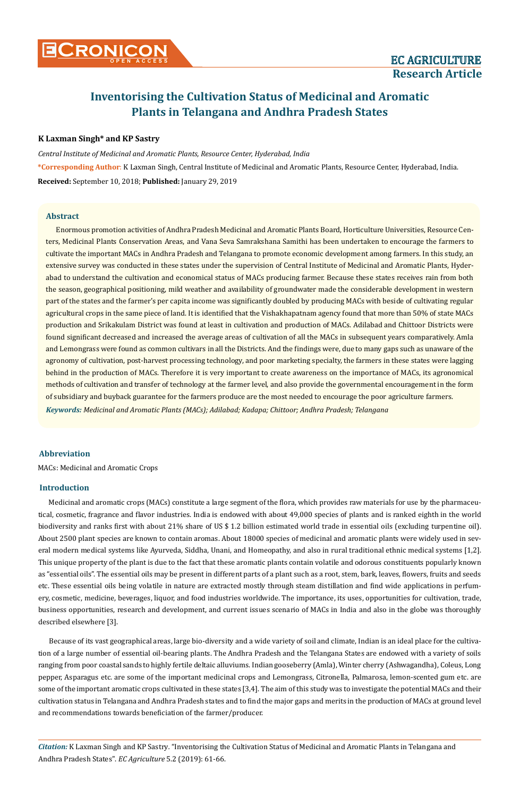# **Inventorising the Cultivation Status of Medicinal and Aromatic Plants in Telangana and Andhra Pradesh States**

## **K Laxman Singh\* and KP Sastry**

*Central Institute of Medicinal and Aromatic Plants, Resource Center, Hyderabad, India* **\*Corresponding Author**: K Laxman Singh, Central Institute of Medicinal and Aromatic Plants, Resource Center, Hyderabad, India. **Received:** September 10, 2018; **Published:** January 29, 2019

#### **Abstract**

*Keywords: Medicinal and Aromatic Plants (MACs); Adilabad; Kadapa; Chittoor; Andhra Pradesh; Telangana* Enormous promotion activities of Andhra Pradesh Medicinal and Aromatic Plants Board, Horticulture Universities, Resource Centers, Medicinal Plants Conservation Areas, and Vana Seva Samrakshana Samithi has been undertaken to encourage the farmers to cultivate the important MACs in Andhra Pradesh and Telangana to promote economic development among farmers. In this study, an extensive survey was conducted in these states under the supervision of Central Institute of Medicinal and Aromatic Plants, Hyderabad to understand the cultivation and economical status of MACs producing farmer. Because these states receives rain from both the season, geographical positioning, mild weather and availability of groundwater made the considerable development in western part of the states and the farmer's per capita income was significantly doubled by producing MACs with beside of cultivating regular agricultural crops in the same piece of land. It is identified that the Vishakhapatnam agency found that more than 50% of state MACs production and Srikakulam District was found at least in cultivation and production of MACs. Adilabad and Chittoor Districts were found significant decreased and increased the average areas of cultivation of all the MACs in subsequent years comparatively. Amla and Lemongrass were found as common cultivars in all the Districts. And the findings were, due to many gaps such as unaware of the agronomy of cultivation, post-harvest processing technology, and poor marketing specialty, the farmers in these states were lagging behind in the production of MACs. Therefore it is very important to create awareness on the importance of MACs, its agronomical methods of cultivation and transfer of technology at the farmer level, and also provide the governmental encouragement in the form of subsidiary and buyback guarantee for the farmers produce are the most needed to encourage the poor agriculture farmers.

## **Abbreviation**

MACs: Medicinal and Aromatic Crops

## **Introduction**

Medicinal and aromatic crops (MACs) constitute a large segment of the flora, which provides raw materials for use by the pharmaceutical, cosmetic, fragrance and flavor industries. India is endowed with about 49,000 species of plants and is ranked eighth in the world biodiversity and ranks first with about 21% share of US \$ 1.2 billion estimated world trade in essential oils (excluding turpentine oil). About 2500 plant species are known to contain aromas. About 18000 species of medicinal and aromatic plants were widely used in several modern medical systems like Ayurveda, Siddha, Unani, and Homeopathy, and also in rural traditional ethnic medical systems [1,2]. This unique property of the plant is due to the fact that these aromatic plants contain volatile and odorous constituents popularly known as "essential oils". The essential oils may be present in different parts of a plant such as a root, stem, bark, leaves, flowers, fruits and seeds etc. These essential oils being volatile in nature are extracted mostly through steam distillation and find wide applications in perfumery, cosmetic, medicine, beverages, liquor, and food industries worldwide. The importance, its uses, opportunities for cultivation, trade, business opportunities, research and development, and current issues scenario of MACs in India and also in the globe was thoroughly described elsewhere [3].

Because of its vast geographical areas, large bio-diversity and a wide variety of soil and climate, Indian is an ideal place for the cultivation of a large number of essential oil-bearing plants. The Andhra Pradesh and the Telangana States are endowed with a variety of soils ranging from poor coastal sands to highly fertile deltaic alluviums. Indian gooseberry (Amla), Winter cherry (Ashwagandha), Coleus, Long pepper, Asparagus etc. are some of the important medicinal crops and Lemongrass, Citronella, Palmarosa, lemon-scented gum etc. are some of the important aromatic crops cultivated in these states [3,4]. The aim of this study was to investigate the potential MACs and their cultivation status in Telangana and Andhra Pradesh states and to find the major gaps and merits in the production of MACs at ground level and recommendations towards beneficiation of the farmer/producer.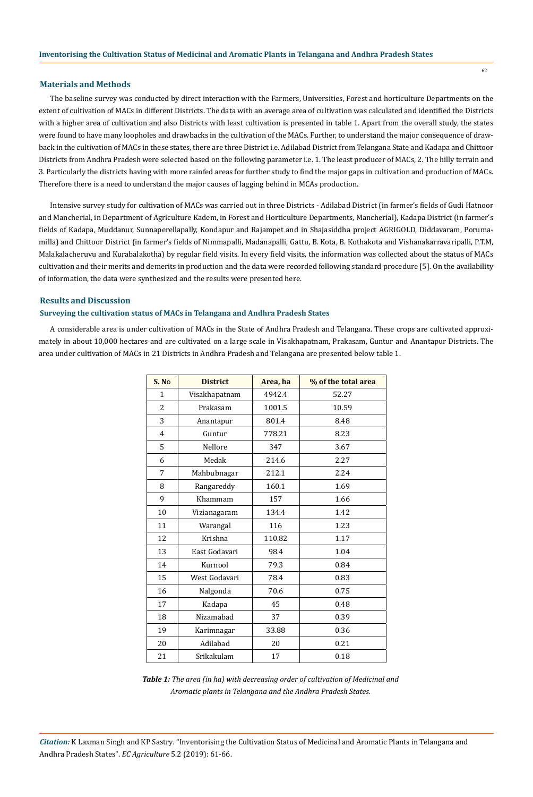#### **Materials and Methods**

The baseline survey was conducted by direct interaction with the Farmers, Universities, Forest and horticulture Departments on the extent of cultivation of MACs in different Districts. The data with an average area of cultivation was calculated and identified the Districts with a higher area of cultivation and also Districts with least cultivation is presented in table 1. Apart from the overall study, the states were found to have many loopholes and drawbacks in the cultivation of the MACs. Further, to understand the major consequence of drawback in the cultivation of MACs in these states, there are three District i.e. Adilabad District from Telangana State and Kadapa and Chittoor Districts from Andhra Pradesh were selected based on the following parameter i.e. 1. The least producer of MACs, 2. The hilly terrain and 3. Particularly the districts having with more rainfed areas for further study to find the major gaps in cultivation and production of MACs. Therefore there is a need to understand the major causes of lagging behind in MCAs production.

Intensive survey study for cultivation of MACs was carried out in three Districts - Adilabad District (in farmer's fields of Gudi Hatnoor and Mancherial, in Department of Agriculture Kadem, in Forest and Horticulture Departments, Mancherial), Kadapa District (in farmer's fields of Kadapa, Muddanur, Sunnaperellapally, Kondapur and Rajampet and in Shajasiddha project AGRIGOLD, Diddavaram, Porumamilla) and Chittoor District (in farmer's fields of Nimmapalli, Madanapalli, Gattu, B. Kota, B. Kothakota and Vishanakarravaripalli, P.T.M, Malakalacheruvu and Kurabalakotha) by regular field visits. In every field visits, the information was collected about the status of MACs cultivation and their merits and demerits in production and the data were recorded following standard procedure [5]. On the availability of information, the data were synthesized and the results were presented here.

## **Results and Discussion**

#### **Surveying the cultivation status of MACs in Telangana and Andhra Pradesh States**

A considerable area is under cultivation of MACs in the State of Andhra Pradesh and Telangana. These crops are cultivated approximately in about 10,000 hectares and are cultivated on a large scale in Visakhapatnam, Prakasam, Guntur and Anantapur Districts. The area under cultivation of MACs in 21 Districts in Andhra Pradesh and Telangana are presented below table 1.

| S. No          | <b>District</b> | Area, ha | % of the total area |  |  |  |  |  |
|----------------|-----------------|----------|---------------------|--|--|--|--|--|
| $\mathbf{1}$   | Visakhapatnam   | 4942.4   | 52.27               |  |  |  |  |  |
| $\overline{c}$ | Prakasam        | 1001.5   | 10.59               |  |  |  |  |  |
| 3              | Anantapur       | 801.4    | 8.48                |  |  |  |  |  |
| 4              | Guntur          | 778.21   | 8.23                |  |  |  |  |  |
| 5              | Nellore         | 347      | 3.67                |  |  |  |  |  |
| 6              | Medak           | 214.6    | 2.27                |  |  |  |  |  |
| 7              | Mahbubnagar     | 212.1    | 2.24                |  |  |  |  |  |
| 8              | Rangareddy      | 160.1    | 1.69                |  |  |  |  |  |
| 9              | Khammam         | 157      | 1.66                |  |  |  |  |  |
| 10             | Vizianagaram    | 134.4    | 1.42                |  |  |  |  |  |
| 11             | Warangal        | 116      | 1.23                |  |  |  |  |  |
| 12             | Krishna         | 110.82   | 1.17                |  |  |  |  |  |
| 13             | East Godavari   | 98.4     | 1.04                |  |  |  |  |  |
| 14             | Kurnool         | 79.3     | 0.84                |  |  |  |  |  |
| 15             | West Godavari   | 78.4     | 0.83                |  |  |  |  |  |
| 16             | Nalgonda        | 70.6     | 0.75                |  |  |  |  |  |
| 17             | Kadapa          | 45       | 0.48                |  |  |  |  |  |
| 18             | Nizamabad       | 37       | 0.39                |  |  |  |  |  |
| 19             | Karimnagar      | 33.88    | 0.36                |  |  |  |  |  |
| 20             | Adilabad        | 20       | 0.21                |  |  |  |  |  |
| 21             | Srikakulam      | 17       | 0.18                |  |  |  |  |  |

*Table 1: The area (in ha) with decreasing order of cultivation of Medicinal and Aromatic plants in Telangana and the Andhra Pradesh States.*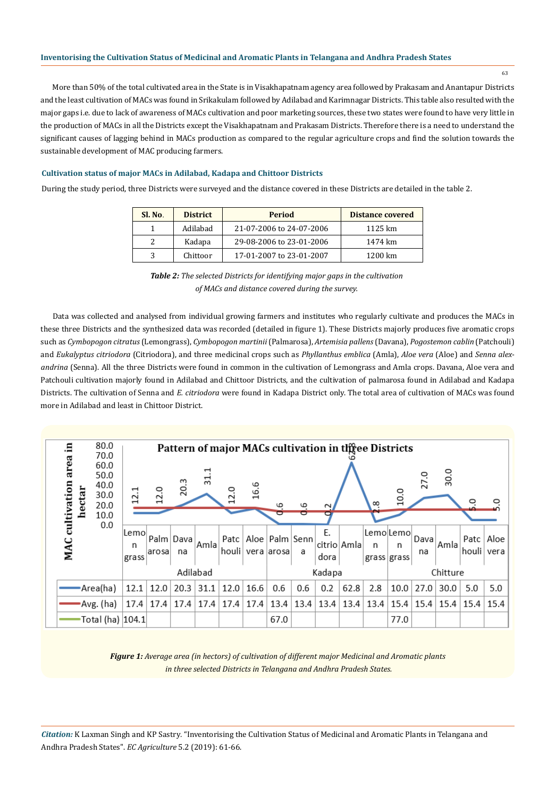More than 50% of the total cultivated area in the State is in Visakhapatnam agency area followed by Prakasam and Anantapur Districts and the least cultivation of MACs was found in Srikakulam followed by Adilabad and Karimnagar Districts. This table also resulted with the major gaps i.e. due to lack of awareness of MACs cultivation and poor marketing sources, these two states were found to have very little in the production of MACs in all the Districts except the Visakhapatnam and Prakasam Districts. Therefore there is a need to understand the significant causes of lagging behind in MACs production as compared to the regular agriculture crops and find the solution towards the sustainable development of MAC producing farmers.

#### **Cultivation status of major MACs in Adilabad, Kadapa and Chittoor Districts**

During the study period, three Districts were surveyed and the distance covered in these Districts are detailed in the table 2.

| Sl. No. | <b>District</b> | <b>Period</b>            | <b>Distance covered</b> |  |  |  |
|---------|-----------------|--------------------------|-------------------------|--|--|--|
|         | Adilabad        | 21-07-2006 to 24-07-2006 | 1125 km                 |  |  |  |
|         | Kadapa          | 29-08-2006 to 23-01-2006 | 1474 km                 |  |  |  |
|         | Chittoor        | 17-01-2007 to 23-01-2007 | 1200 km                 |  |  |  |



Data was collected and analysed from individual growing farmers and institutes who regularly cultivate and produces the MACs in these three Districts and the synthesized data was recorded (detailed in figure 1). These Districts majorly produces five aromatic crops such as *Cymbopogon citratus* (Lemongrass), *Cymbopogon martinii* (Palmarosa), *Artemisia pallens* (Davana), *Pogostemon cablin* (Patchouli) and *Eukalyptus citriodora* (Citriodora), and three medicinal crops such as *Phyllanthus emblica* (Amla), *Aloe vera* (Aloe) and *Senna alexandrina* (Senna). All the three Districts were found in common in the cultivation of Lemongrass and Amla crops. Davana, Aloe vera and Patchouli cultivation majorly found in Adilabad and Chittoor Districts, and the cultivation of palmarosa found in Adilabad and Kadapa Districts. The cultivation of Senna and *E. citriodora* were found in Kadapa District only. The total area of cultivation of MACs was found more in Adilabad and least in Chittoor District.

| 80.0<br>Ξ.<br>Pattern of major MACs cultivation in three Districts<br>70.0 |                                              |                    |       |                 |      |                      |      |                                        |     |            |             |                      |                 |             |      |                                  |      |
|----------------------------------------------------------------------------|----------------------------------------------|--------------------|-------|-----------------|------|----------------------|------|----------------------------------------|-----|------------|-------------|----------------------|-----------------|-------------|------|----------------------------------|------|
| cultivation area<br>hectar                                                 | 60.0<br>50.0<br>40.0<br>30.0<br>20.0<br>10.0 | 12.1               | 12.0  | 20.3            | 딌.   | 12.0                 | 16.6 | م                                      |     | $\sim$     |             | $\infty$             | 10.0            | 27.0        | 30.0 |                                  |      |
| MAC                                                                        | 0.0                                          | Lemo<br>n<br>grass | arosa | Palm Dava<br>na | Amla | Patc $ $             |      | Aloe   Palm   Senn<br>houli vera arosa | a   | Ε.<br>dora | citrio Amla | n<br>grass grass     | Lemo Lemo <br>n | Dava <br>na | Amla | Patc $ $<br>houli vera           | Aloe |
|                                                                            |                                              | Adilabad           |       |                 |      |                      |      | Kadapa                                 |     |            |             |                      | Chitture        |             |      |                                  |      |
|                                                                            | •Area(ha)                                    | 12.1               | 12.0  | 20.3            | 31.1 | 12.0                 | 16.6 | 0.6                                    | 0.6 | 0.2        | 62.8        | 2.8                  | 10.0            | 27.0        | 30.0 | 5.0                              | 5.0  |
|                                                                            | -Avg. (ha)                                   | 17.4               | 17.4  |                 |      | $17.4$   17.4   17.4 |      | $17.4$   13.4   13.4                   |     |            |             | $13.4$   13.4   13.4 |                 |             |      | 15.4   15.4   15.4   15.4   15.4 |      |
|                                                                            | Total (ha)  104.1                            |                    |       |                 |      |                      |      | 67.0                                   |     |            |             |                      | 77.0            |             |      |                                  |      |

*Figure 1: Average area (in hectors) of cultivation of different major Medicinal and Aromatic plants in three selected Districts in Telangana and Andhra Pradesh States.*

*Citation:* K Laxman Singh and KP Sastry*.* "Inventorising the Cultivation Status of Medicinal and Aromatic Plants in Telangana and Andhra Pradesh States". *EC Agriculture* 5.2 (2019): 61-66.

63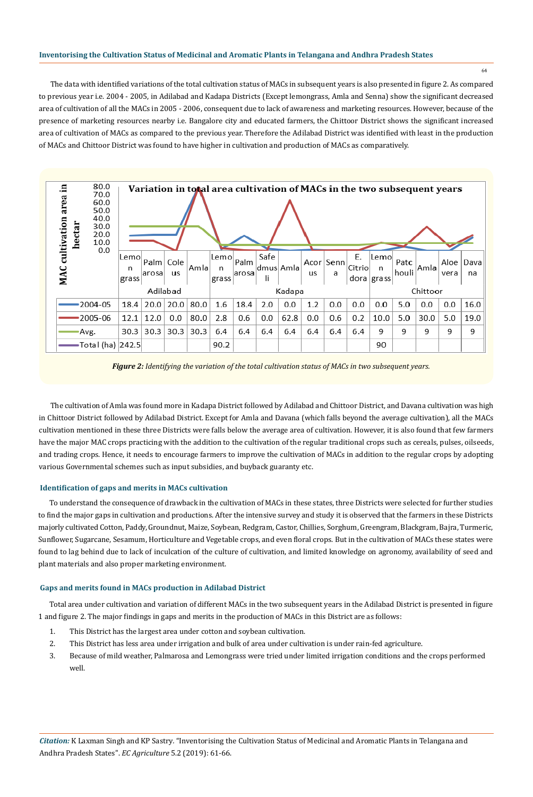#### **Inventorising the Cultivation Status of Medicinal and Aromatic Plants in Telangana and Andhra Pradesh States**

64

The data with identified variations of the total cultivation status of MACs in subsequent years is also presented in figure 2. As compared to previous year i.e. 2004 - 2005, in Adilabad and Kadapa Districts (Except lemongrass, Amla and Senna) show the significant decreased area of cultivation of all the MACs in 2005 - 2006, consequent due to lack of awareness and marketing resources. However, because of the presence of marketing resources nearby i.e. Bangalore city and educated farmers, the Chittoor District shows the significant increased area of cultivation of MACs as compared to the previous year. Therefore the Adilabad District was identified with least in the production of MACs and Chittoor District was found to have higher in cultivation and production of MACs as comparatively.





The cultivation of Amla was found more in Kadapa District followed by Adilabad and Chittoor District, and Davana cultivation was high in Chittoor District followed by Adilabad District. Except for Amla and Davana (which falls beyond the average cultivation), all the MACs cultivation mentioned in these three Districts were falls below the average area of cultivation. However, it is also found that few farmers have the major MAC crops practicing with the addition to the cultivation of the regular traditional crops such as cereals, pulses, oilseeds, and trading crops. Hence, it needs to encourage farmers to improve the cultivation of MACs in addition to the regular crops by adopting various Governmental schemes such as input subsidies, and buyback guaranty etc.

## **Identification of gaps and merits in MACs cultivation**

To understand the consequence of drawback in the cultivation of MACs in these states, three Districts were selected for further studies to find the major gaps in cultivation and productions. After the intensive survey and study it is observed that the farmers in these Districts majorly cultivated Cotton, Paddy, Groundnut, Maize, Soybean, Redgram, Castor, Chillies, Sorghum, Greengram, Blackgram, Bajra, Turmeric, Sunflower, Sugarcane, Sesamum, Horticulture and Vegetable crops, and even floral crops. But in the cultivation of MACs these states were found to lag behind due to lack of inculcation of the culture of cultivation, and limited knowledge on agronomy, availability of seed and plant materials and also proper marketing environment.

## **Gaps and merits found in MACs production in Adilabad District**

Total area under cultivation and variation of different MACs in the two subsequent years in the Adilabad District is presented in figure 1 and figure 2. The major findings in gaps and merits in the production of MACs in this District are as follows:

- 1. This District has the largest area under cotton and soybean cultivation.
- 2. This District has less area under irrigation and bulk of area under cultivation is under rain-fed agriculture.
- 3. Because of mild weather, Palmarosa and Lemongrass were tried under limited irrigation conditions and the crops performed well.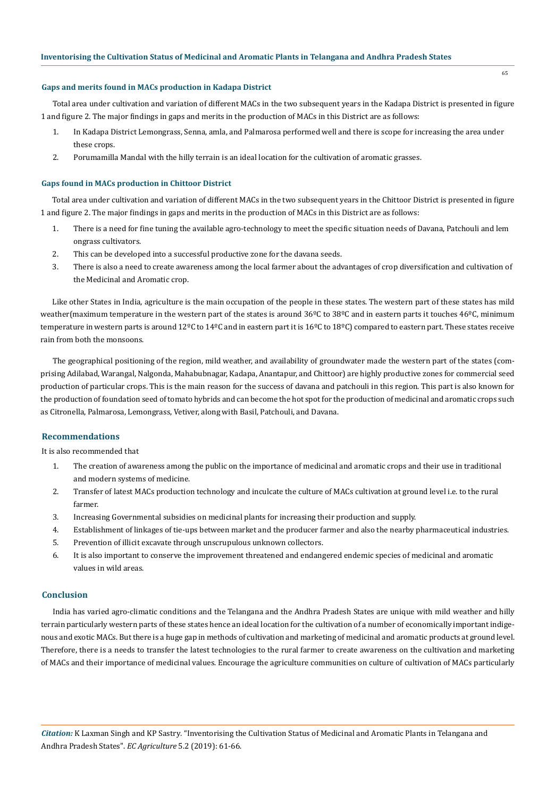#### **Gaps and merits found in MACs production in Kadapa District**

Total area under cultivation and variation of different MACs in the two subsequent years in the Kadapa District is presented in figure 1 and figure 2. The major findings in gaps and merits in the production of MACs in this District are as follows:

- 1. In Kadapa District Lemongrass, Senna, amla, and Palmarosa performed well and there is scope for increasing the area under these crops.
- 2. Porumamilla Mandal with the hilly terrain is an ideal location for the cultivation of aromatic grasses.

#### **Gaps found in MACs production in Chittoor District**

Total area under cultivation and variation of different MACs in the two subsequent years in the Chittoor District is presented in figure 1 and figure 2. The major findings in gaps and merits in the production of MACs in this District are as follows:

- 1. There is a need for fine tuning the available agro-technology to meet the specific situation needs of Davana, Patchouli and lem ongrass cultivators.
- 2. This can be developed into a successful productive zone for the davana seeds.
- 3. There is also a need to create awareness among the local farmer about the advantages of crop diversification and cultivation of the Medicinal and Aromatic crop.

Like other States in India, agriculture is the main occupation of the people in these states. The western part of these states has mild weather(maximum temperature in the western part of the states is around 36°C to 38°C and in eastern parts it touches 46°C, minimum temperature in western parts is around  $12^{\circ}$ C to  $14^{\circ}$ C and in eastern part it is  $16^{\circ}$ C to  $18^{\circ}$ C) compared to eastern part. These states receive rain from both the monsoons.

The geographical positioning of the region, mild weather, and availability of groundwater made the western part of the states (comprising Adilabad, Warangal, Nalgonda, Mahabubnagar, Kadapa, Anantapur, and Chittoor) are highly productive zones for commercial seed production of particular crops. This is the main reason for the success of davana and patchouli in this region. This part is also known for the production of foundation seed of tomato hybrids and can become the hot spot for the production of medicinal and aromatic crops such as Citronella, Palmarosa, Lemongrass, Vetiver, along with Basil, Patchouli, and Davana.

#### **Recommendations**

It is also recommended that

- 1. The creation of awareness among the public on the importance of medicinal and aromatic crops and their use in traditional and modern systems of medicine.
- 2. Transfer of latest MACs production technology and inculcate the culture of MACs cultivation at ground level i.e. to the rural farmer.
- 3. Increasing Governmental subsidies on medicinal plants for increasing their production and supply.
- 4. Establishment of linkages of tie-ups between market and the producer farmer and also the nearby pharmaceutical industries.
- 5. Prevention of illicit excavate through unscrupulous unknown collectors.
- 6. It is also important to conserve the improvement threatened and endangered endemic species of medicinal and aromatic values in wild areas.

#### **Conclusion**

India has varied agro-climatic conditions and the Telangana and the Andhra Pradesh States are unique with mild weather and hilly terrain particularly western parts of these states hence an ideal location for the cultivation of a number of economically important indigenous and exotic MACs. But there is a huge gap in methods of cultivation and marketing of medicinal and aromatic products at ground level. Therefore, there is a needs to transfer the latest technologies to the rural farmer to create awareness on the cultivation and marketing of MACs and their importance of medicinal values. Encourage the agriculture communities on culture of cultivation of MACs particularly

65